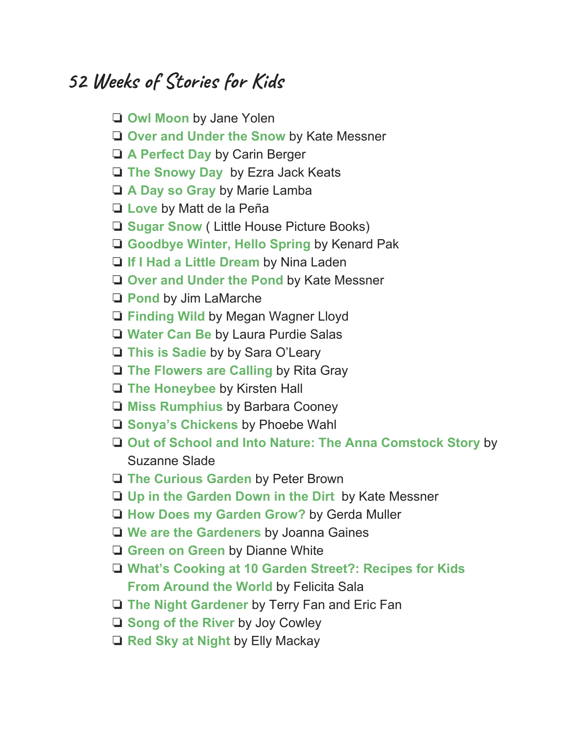## **52 Weeks of Stories for Kids**

- ❏ **Owl [Moon](https://amzn.to/3a7iXtR)** by Jane Yolen
- ❏ **Over and [Under](https://amzn.to/36Sp578) the Snow** by Kate Messner
- ❏ **A [Perfect](https://amzn.to/30hREIR) Day** by Carin Berger
- ❏ **The [Snowy](https://amzn.to/2tURlaL) Day** by Ezra Jack Keats
- ❏ **A Day so [Gray](https://amzn.to/2GIxTkE)** by Marie Lamba
- ❏ **[Love](https://amzn.to/3ezRSjX)** [b](https://amzn.to/3ezRSjX)y Matt de la Peña
- ❏ **[Sugar](https://amzn.to/35N8aS7) Snow** ( Little House Picture Books)
- ❏ **[Goodbye](https://amzn.to/2TkG2Dt) Winter, Hello Spring** by Kenard Pak
- ❏ **If I Had a Little [Dream](https://amzn.to/3hb2lnP)** by Nina Laden
- ❏ **Over and [Under](https://amzn.to/2Nnxk3k) the Pond** by Kate Messner
- ❏ **[Pond](https://amzn.to/3abZ7On)** [b](https://amzn.to/3abZ7On)y Jim LaMarche
- ❏ **[Finding](https://amzn.to/2TgDbvk) Wild** by Megan Wagner Lloyd
- ❏ **[Water](https://amzn.to/30iwLgv) Can Be** by Laura Purdie Salas
- ❏ **This is [Sadie](https://amzn.to/30spIme)** by by Sara O'Leary
- ❏ **The [Flowers](https://amzn.to/2UfqBNe) are Calling** by Rita Gray
- ❏ **The [Honeybee](https://amzn.to/2RfaKev)** by Kirsten Hall
- ❏ **Miss [Rumphius](https://amzn.to/30mXrNs)** by Barbara Cooney
- ❏ **Sonya's [Chickens](https://amzn.to/3fGfqFc)** by Phoebe Wahl
- ❏ **Out of School and Into Nature: The Anna [Comstock](https://amzn.to/2FKYD3z) Story** by Suzanne Slade
- ❏ **The [Curious](https://amzn.to/2CcX0O8) Garden** by Peter Brown
- ❏ **Up in the [Garden](https://amzn.to/2snEJIX) Down in the Dirt** by Kate Messner
- ❏ **How Does my [Garden](https://amzn.to/31c4AjW) Grow?** by Gerda Muller
- ❏ **We are the [Gardeners](https://amzn.to/2tgM7Gl)** by Joanna Gaines
- ❏ **[Green](https://amzn.to/2Wv0yBU) on Green** by Dianne White
- ❏ **What's [Cooking](https://amzn.to/3900fTQ) at 10 Garden Street?: Recipes for Kids From [Around](https://amzn.to/3900fTQ) the World** by Felicita Sala
- ❏ **The Night [Gardener](https://amzn.to/32s8c3T)** by Terry Fan and Eric Fan
- ❏ **Song of the [River](https://amzn.to/2CF7Vjj)** by Joy Cowley
- ❏ **Red Sky at [Night](https://amzn.to/30kQEEn)** by Elly Mackay